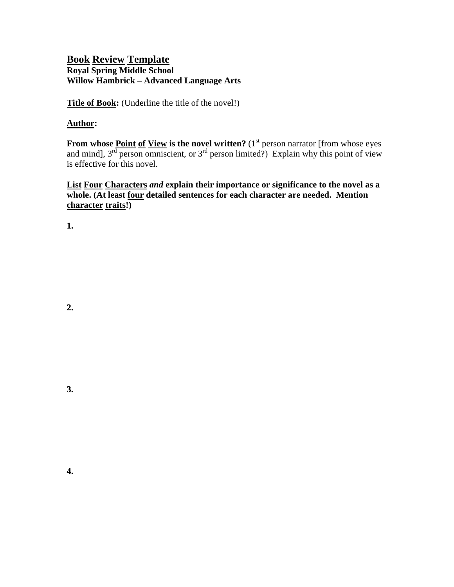## **Book Review Template Royal Spring Middle School Willow Hambrick – Advanced Language Arts**

**Title of Book:** (Underline the title of the novel!)

## **Author:**

**From whose <u>Point of View</u> is the novel written?** (1<sup>st</sup> person narrator [from whose eyes and mind],  $3^{rd}$  person omniscient, or  $3^{rd}$  person limited?) Explain why this point of view is effective for this novel.

**List Four Characters** *and* **explain their importance or significance to the novel as a whole. (At least four detailed sentences for each character are needed. Mention character traits!)**

**1.**

**4.**

**3.**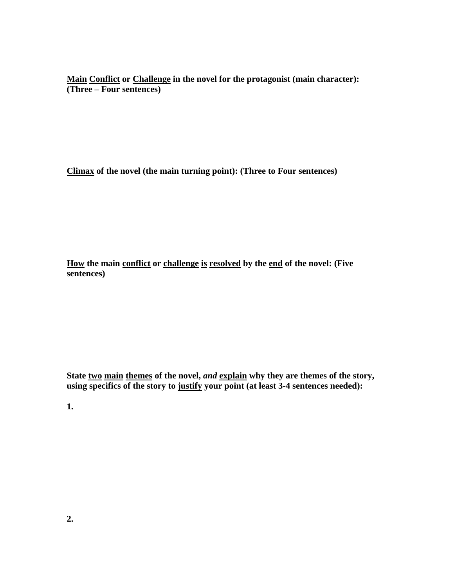**Main Conflict or Challenge in the novel for the protagonist (main character): (Three – Four sentences)**

**Climax of the novel (the main turning point): (Three to Four sentences)**

**How the main conflict or challenge is resolved by the end of the novel: (Five sentences)**

**State two main themes of the novel,** *and* **explain why they are themes of the story, using specifics of the story to justify your point (at least 3-4 sentences needed):**

**1.**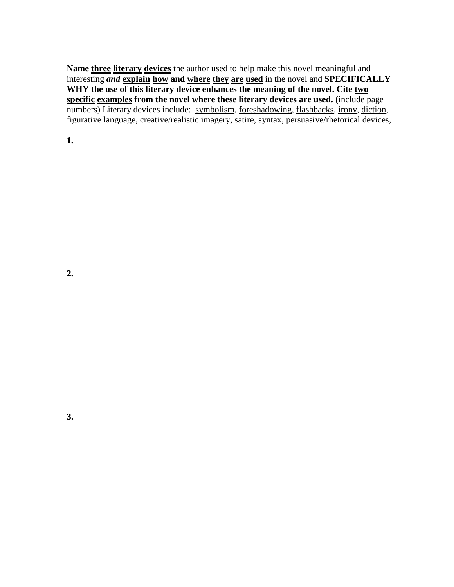**Name three literary devices** the author used to help make this novel meaningful and interesting *and* **explain how and where they are used** in the novel and **SPECIFICALLY WHY the use of this literary device enhances the meaning of the novel. Cite two specific examples from the novel where these literary devices are used.** (include page numbers) Literary devices include: symbolism, foreshadowing, flashbacks, irony, diction, figurative language, creative/realistic imagery, satire, syntax, persuasive/rhetorical devices,

**1.**